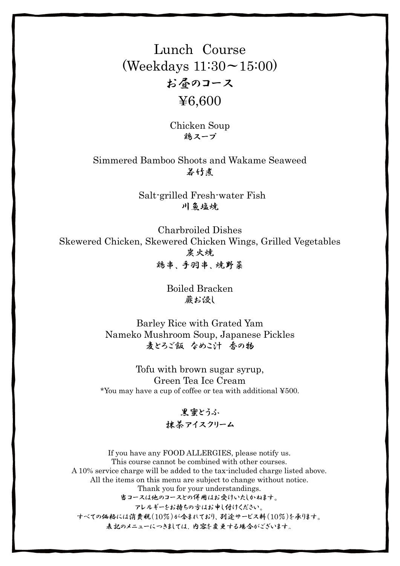# Lunch Course (Weekdays 11:30~15:00) お昼のコース ¥6,600

Chicken Soup 鶏スープ

Simmered Bamboo Shoots and Wakame Seaweed 若竹煮

> Salt-grilled Fresh-water Fish 川鱼塩煉

Charbroiled Dishes Skewered Chicken, Skewered Chicken Wings, Grilled Vegetables 炭火焼 鶏串、手羽串、焼野菜

> Boiled Bracken 蕨お侵し

Barley Rice with Grated Yam Nameko Mushroom Soup, Japanese Pickles 麦とろご飯 なめこ汁 香の物

Tofu with brown sugar syrup, Green Tea Ice Cream \*You may have a cup of coffee or tea with additional ¥500.

#### 黒蜜とうふ 抹茶アイスクリーム

If you have any FOOD ALLERGIES, please notify us. This course cannot be combined with other courses. A 10% service charge will be added to the tax-included charge listed above. All the items on this menu are subject to change without notice. Thank you for your understandings. 当コースは他のコースとの併用はお受けいたしかねます。 アレルギーをお持ちの方はお申し付けください。 すべての価格には消費税(10%)が含まれており、別途サービス料(10%)を承ります。 表記のメニューにつきましては、内容を変更する場合がございます。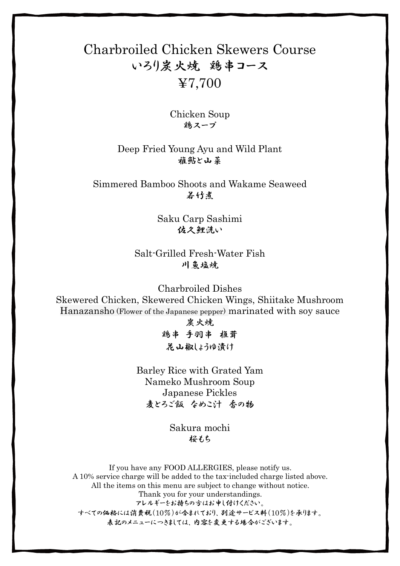## Charbroiled Chicken Skewers Course いろり炭火焼 鶏串コース ¥7,700

Chicken Soup 鶏スープ

Deep Fried Young Ayu and Wild Plant 権鮎と山菜

Simmered Bamboo Shoots and Wakame Seaweed 若竹煮

> Saku Carp Sashimi 佐久鯉洗い

Salt-Grilled Fresh-Water Fish 川岛塩焼

Charbroiled Dishes Skewered Chicken, Skewered Chicken Wings, Shiitake Mushroom Hanazansho (Flower of the Japanese pepper) marinated with soy sauce 炭火焼

> 鶏串 手羽串 椎茸 花山椒しょうゆ漬け

Barley Rice with Grated Yam Nameko Mushroom Soup Japanese Pickles 麦とろご飯 なめこ汁 香の物

> Sakura mochi 桜もち

If you have any FOOD ALLERGIES, please notify us. A 10% service charge will be added to the tax-included charge listed above. All the items on this menu are subject to change without notice. Thank you for your understandings. アレルギーをお持ちの方はお申し付けください。 すべての価格には消費税(10%)が含まれており、別途サービス料(10%)を承ります。 表記のメニューにつきましては、内容を変更する場合がございます。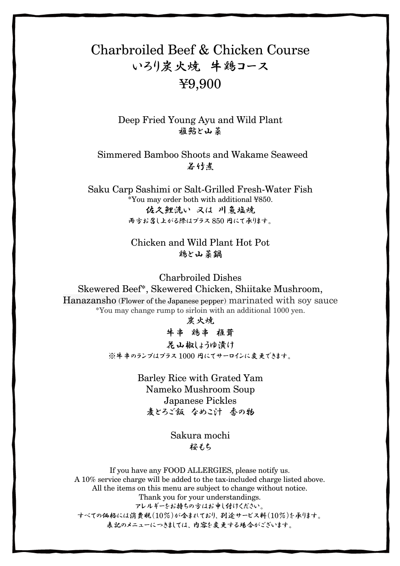# Charbroiled Beef & Chicken Course いろり炭火焼 牛鶏コース ¥9,900

Deep Fried Young Ayu and Wild Plant 権鮎と山菜

Simmered Bamboo Shoots and Wakame Seaweed 若竹者

Saku Carp Sashimi or Salt-Grilled Fresh-Water Fish \*You may order both with additional ¥850. 佐久鲤洗い 又は 川負塩焼 西方お召し上がる際はプラス850 円にて承生す。

> Chicken and Wild Plant Hot Pot 鶏と山菜鍋

Charbroiled Dishes Skewered Beef\*, Skewered Chicken, Shiitake Mushroom, Hanazansho (Flower of the Japanese pepper) marinated with soy sauce \*You may change rump to sirloin with an additional 1000 yen.

求火炼

牛串 鶏串 推葺 呆山椒はうゆ漬け ※牛串のランプはプラス1000 円にてサーロインに変更できます。

> Barley Rice with Grated Yam Nameko Mushroom Soup Japanese Pickles 麦とろご飯 なめこけ 香の物

> > Sakura mochi 招もち

If you have any FOOD ALLERGIES, please notify us. A 10% service charge will be added to the tax-included charge listed above. All the items on this menu are subject to change without notice. Thank you for your understandings. アレルギーをお持ちの方はお申し付けください。 すべての価格には消費税(10%)が含まれており、別途サービス料(10%)を承ります。 表記のメニューにつきましては、内容を変更する場合がございます。